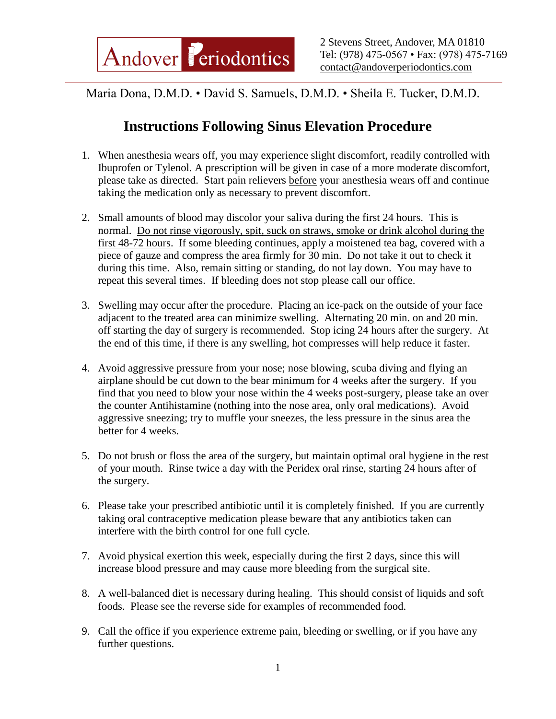Maria Dona, D.M.D. • David S. Samuels, D.M.D. • Sheila E. Tucker, D.M.D.

## **Instructions Following Sinus Elevation Procedure**

- 1. When anesthesia wears off, you may experience slight discomfort, readily controlled with Ibuprofen or Tylenol. A prescription will be given in case of a more moderate discomfort, please take as directed. Start pain relievers before your anesthesia wears off and continue taking the medication only as necessary to prevent discomfort.
- 2. Small amounts of blood may discolor your saliva during the first 24 hours. This is normal. Do not rinse vigorously, spit, suck on straws, smoke or drink alcohol during the first 48-72 hours. If some bleeding continues, apply a moistened tea bag, covered with a piece of gauze and compress the area firmly for 30 min. Do not take it out to check it during this time. Also, remain sitting or standing, do not lay down. You may have to repeat this several times. If bleeding does not stop please call our office.
- 3. Swelling may occur after the procedure. Placing an ice-pack on the outside of your face adjacent to the treated area can minimize swelling. Alternating 20 min. on and 20 min. off starting the day of surgery is recommended. Stop icing 24 hours after the surgery. At the end of this time, if there is any swelling, hot compresses will help reduce it faster.
- 4. Avoid aggressive pressure from your nose; nose blowing, scuba diving and flying an airplane should be cut down to the bear minimum for 4 weeks after the surgery. If you find that you need to blow your nose within the 4 weeks post-surgery, please take an over the counter Antihistamine (nothing into the nose area, only oral medications). Avoid aggressive sneezing; try to muffle your sneezes, the less pressure in the sinus area the better for 4 weeks.
- 5. Do not brush or floss the area of the surgery, but maintain optimal oral hygiene in the rest of your mouth. Rinse twice a day with the Peridex oral rinse, starting 24 hours after of the surgery.
- 6. Please take your prescribed antibiotic until it is completely finished. If you are currently taking oral contraceptive medication please beware that any antibiotics taken can interfere with the birth control for one full cycle.
- 7. Avoid physical exertion this week, especially during the first 2 days, since this will increase blood pressure and may cause more bleeding from the surgical site.
- 8. A well-balanced diet is necessary during healing. This should consist of liquids and soft foods. Please see the reverse side for examples of recommended food.
- 9. Call the office if you experience extreme pain, bleeding or swelling, or if you have any further questions.